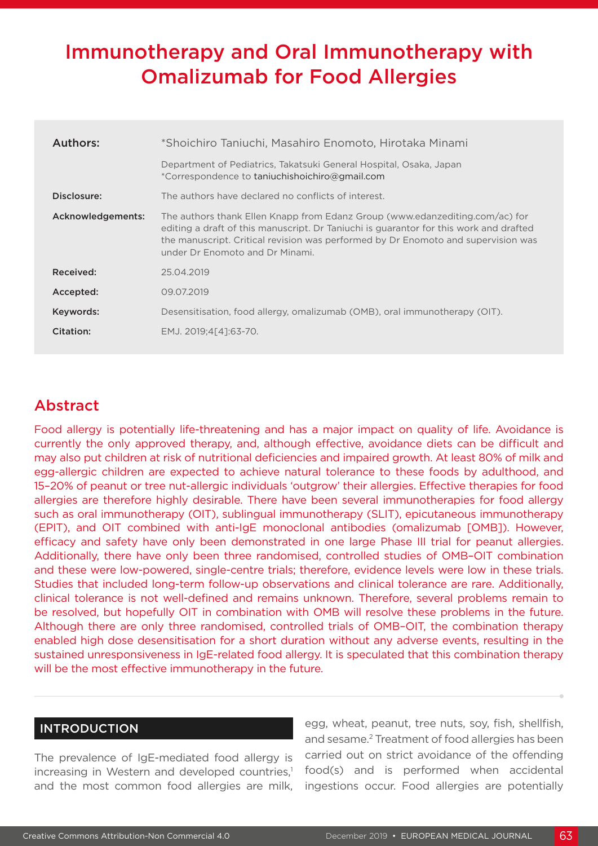# Immunotherapy and Oral Immunotherapy with Omalizumab for Food Allergies

| <b>Authors:</b>   | *Shoichiro Taniuchi, Masahiro Enomoto, Hirotaka Minami                                                                                                                                                                                                                                         |  |  |  |  |
|-------------------|------------------------------------------------------------------------------------------------------------------------------------------------------------------------------------------------------------------------------------------------------------------------------------------------|--|--|--|--|
|                   | Department of Pediatrics, Takatsuki General Hospital, Osaka, Japan<br>*Correspondence to taniuchishoichiro@gmail.com                                                                                                                                                                           |  |  |  |  |
| Disclosure:       | The authors have declared no conflicts of interest.                                                                                                                                                                                                                                            |  |  |  |  |
| Acknowledgements: | The authors thank Ellen Knapp from Edanz Group (www.edanzediting.com/ac) for<br>editing a draft of this manuscript. Dr Taniuchi is guarantor for this work and drafted<br>the manuscript. Critical revision was performed by Dr Enomoto and supervision was<br>under Dr Enomoto and Dr Minami. |  |  |  |  |
| Received:         | 25.04.2019                                                                                                                                                                                                                                                                                     |  |  |  |  |
| Accepted:         | 09.07.2019                                                                                                                                                                                                                                                                                     |  |  |  |  |
| Keywords:         | Desensitisation, food allergy, omalizumab (OMB), oral immunotherapy (OIT).                                                                                                                                                                                                                     |  |  |  |  |
| Citation:         | EMJ. 2019:4[41:63-70.                                                                                                                                                                                                                                                                          |  |  |  |  |
|                   |                                                                                                                                                                                                                                                                                                |  |  |  |  |

## Abstract

Food allergy is potentially life-threatening and has a major impact on quality of life. Avoidance is currently the only approved therapy, and, although effective, avoidance diets can be difficult and may also put children at risk of nutritional deficiencies and impaired growth. At least 80% of milk and egg-allergic children are expected to achieve natural tolerance to these foods by adulthood, and 15–20% of peanut or tree nut-allergic individuals 'outgrow' their allergies. Effective therapies for food allergies are therefore highly desirable. There have been several immunotherapies for food allergy such as oral immunotherapy (OIT), sublingual immunotherapy (SLIT), epicutaneous immunotherapy (EPIT), and OIT combined with anti-IgE monoclonal antibodies (omalizumab [OMB]). However, efficacy and safety have only been demonstrated in one large Phase III trial for peanut allergies. Additionally, there have only been three randomised, controlled studies of OMB–OIT combination and these were low-powered, single-centre trials; therefore, evidence levels were low in these trials. Studies that included long-term follow-up observations and clinical tolerance are rare. Additionally, clinical tolerance is not well-defined and remains unknown. Therefore, several problems remain to be resolved, but hopefully OIT in combination with OMB will resolve these problems in the future. Although there are only three randomised, controlled trials of OMB–OIT, the combination therapy enabled high dose desensitisation for a short duration without any adverse events, resulting in the sustained unresponsiveness in IgE-related food allergy. It is speculated that this combination therapy will be the most effective immunotherapy in the future.

### INTRODUCTION

The prevalence of IgE-mediated food allergy is increasing in Western and developed countries,<sup>1</sup> and the most common food allergies are milk, egg, wheat, peanut, tree nuts, soy, fish, shellfish, and sesame.2 Treatment of food allergies has been carried out on strict avoidance of the offending food(s) and is performed when accidental ingestions occur. Food allergies are potentially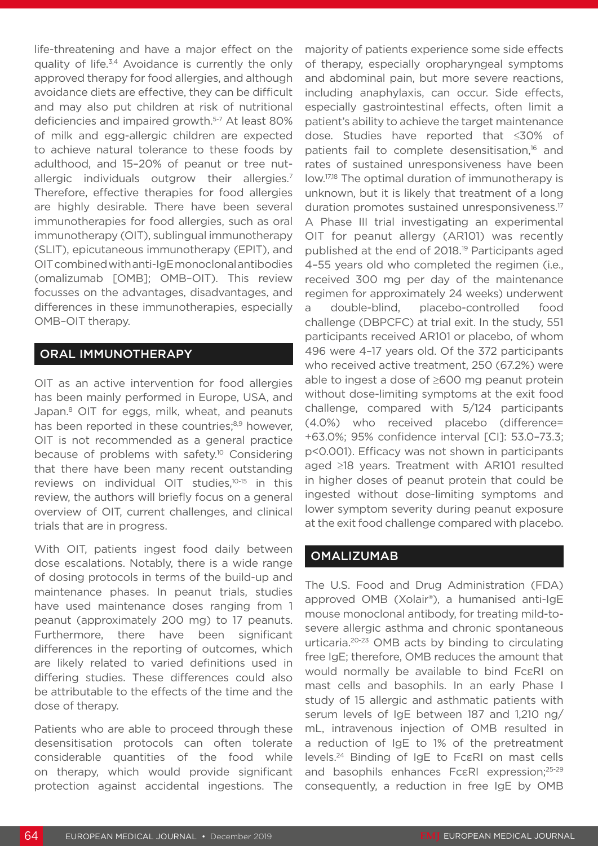life-threatening and have a major effect on the quality of life.3,4 Avoidance is currently the only approved therapy for food allergies, and although avoidance diets are effective, they can be difficult and may also put children at risk of nutritional deficiencies and impaired growth.5-7 At least 80% of milk and egg-allergic children are expected to achieve natural tolerance to these foods by adulthood, and 15–20% of peanut or tree nutallergic individuals outgrow their allergies.<sup>7</sup> Therefore, effective therapies for food allergies are highly desirable. There have been several immunotherapies for food allergies, such as oral immunotherapy (OIT), sublingual immunotherapy (SLIT), epicutaneous immunotherapy (EPIT), and OIT combined with anti-IgE monoclonal antibodies (omalizumab [OMB]; OMB–OIT). This review focusses on the advantages, disadvantages, and differences in these immunotherapies, especially OMB–OIT therapy.

### ORAL IMMUNOTHERAPY

OIT as an active intervention for food allergies has been mainly performed in Europe, USA, and Japan.<sup>8</sup> OIT for eggs, milk, wheat, and peanuts has been reported in these countries;<sup>8,9</sup> however, OIT is not recommended as a general practice because of problems with safety.<sup>10</sup> Considering that there have been many recent outstanding reviews on individual OIT studies,10-15 in this review, the authors will briefly focus on a general overview of OIT, current challenges, and clinical trials that are in progress.

With OIT, patients ingest food daily between dose escalations. Notably, there is a wide range of dosing protocols in terms of the build-up and maintenance phases. In peanut trials, studies have used maintenance doses ranging from 1 peanut (approximately 200 mg) to 17 peanuts. Furthermore, there have been significant differences in the reporting of outcomes, which are likely related to varied definitions used in differing studies. These differences could also be attributable to the effects of the time and the dose of therapy.

Patients who are able to proceed through these desensitisation protocols can often tolerate considerable quantities of the food while on therapy, which would provide significant protection against accidental ingestions. The

majority of patients experience some side effects of therapy, especially oropharyngeal symptoms and abdominal pain, but more severe reactions, including anaphylaxis, can occur. Side effects, especially gastrointestinal effects, often limit a patient's ability to achieve the target maintenance dose. Studies have reported that ≤30% of patients fail to complete desensitisation.<sup>16</sup> and rates of sustained unresponsiveness have been low.17,18 The optimal duration of immunotherapy is unknown, but it is likely that treatment of a long duration promotes sustained unresponsiveness.<sup>17</sup> A Phase III trial investigating an experimental OIT for peanut allergy (AR101) was recently published at the end of 2018.19 Participants aged 4–55 years old who completed the regimen (i.e., received 300 mg per day of the maintenance regimen for approximately 24 weeks) underwent a double-blind, placebo-controlled food challenge (DBPCFC) at trial exit. In the study, 551 participants received AR101 or placebo, of whom 496 were 4–17 years old. Of the 372 participants who received active treatment, 250 (67.2%) were able to ingest a dose of ≥600 mg peanut protein without dose-limiting symptoms at the exit food challenge, compared with 5/124 participants (4.0%) who received placebo (difference= +63.0%; 95% confidence interval [CI]: 53.0–73.3; p<0.001). Efficacy was not shown in participants aged ≥18 years. Treatment with AR101 resulted in higher doses of peanut protein that could be ingested without dose-limiting symptoms and lower symptom severity during peanut exposure at the exit food challenge compared with placebo.

#### **OMALIZUMAB**

The U.S. Food and Drug Administration (FDA) approved OMB (Xolair®), a humanised anti-IgE mouse monoclonal antibody, for treating mild-tosevere allergic asthma and chronic spontaneous urticaria.20-23 OMB acts by binding to circulating free IgE; therefore, OMB reduces the amount that would normally be available to bind FcεRI on mast cells and basophils. In an early Phase I study of 15 allergic and asthmatic patients with serum levels of IgE between 187 and 1,210 ng/ mL, intravenous injection of OMB resulted in a reduction of IgE to 1% of the pretreatment levels.24 Binding of IgE to FcεRI on mast cells and basophils enhances Fc $\epsilon$ RI expression;<sup>25-29</sup> consequently, a reduction in free IgE by OMB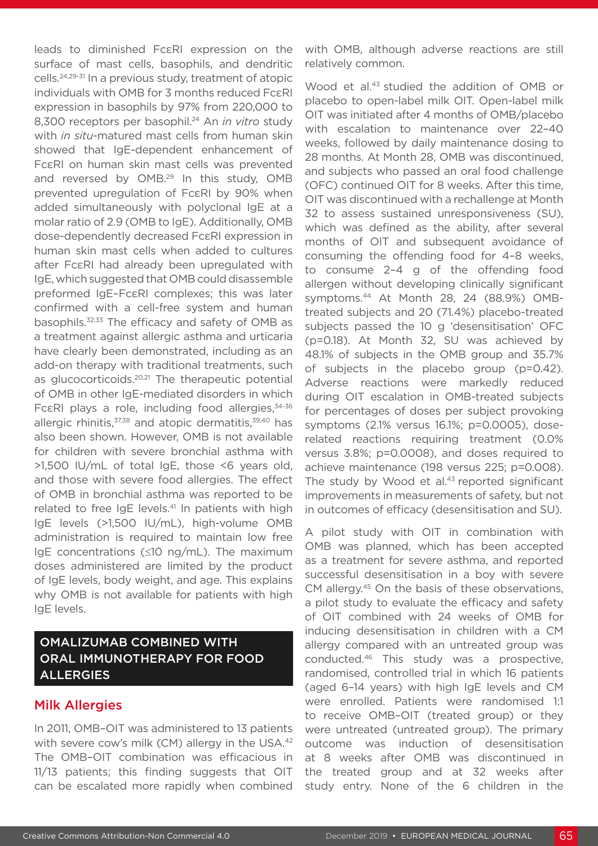leads to diminished FcεRI expression on the surface of mast cells, basophils, and dendritic cells.24,29-31 In a previous study, treatment of atopic individuals with OMB for 3 months reduced FcεRI expression in basophils by 97% from 220,000 to 8,300 receptors per basophil.<sup>24</sup> An *in vitro* study with *in situ*-matured mast cells from human skin showed that IgE-dependent enhancement of FcεRI on human skin mast cells was prevented and reversed by OMB.<sup>29</sup> In this study, OMB prevented upregulation of FcεRI by 90% when added simultaneously with polyclonal IgE at a molar ratio of 2.9 (OMB to IgE). Additionally, OMB dose-dependently decreased FcεRI expression in human skin mast cells when added to cultures after FcεRI had already been upregulated with IgE, which suggested that OMB could disassemble preformed IgE–FcεRI complexes; this was later confirmed with a cell-free system and human basophils.32,33 The efficacy and safety of OMB as a treatment against allergic asthma and urticaria have clearly been demonstrated, including as an add-on therapy with traditional treatments, such as glucocorticoids.20,21 The therapeutic potential of OMB in other IgE-mediated disorders in which Fc $\epsilon$ RI plays a role, including food allergies, 34-36 allergic rhinitis,<sup>37,38</sup> and atopic dermatitis,<sup>39,40</sup> has also been shown. However, OMB is not available for children with severe bronchial asthma with >1,500 IU/mL of total IgE, those <6 years old, and those with severe food allergies. The effect of OMB in bronchial asthma was reported to be related to free IgE levels.<sup>41</sup> In patients with high IgE levels (>1,500 IU/mL), high-volume OMB administration is required to maintain low free IgE concentrations (≤10 ng/mL). The maximum doses administered are limited by the product of IgE levels, body weight, and age. This explains why OMB is not available for patients with high IgE levels.

## OMALIZUMAB COMBINED WITH ORAL IMMUNOTHERAPY FOR FOOD ALLERGIES

### Milk Allergies

In 2011, OMB–OIT was administered to 13 patients with severe cow's milk (CM) allergy in the USA.<sup>42</sup> The OMB–OIT combination was efficacious in 11/13 patients; this finding suggests that OIT can be escalated more rapidly when combined

with OMB, although adverse reactions are still relatively common.

Wood et al.43 studied the addition of OMB or placebo to open-label milk OIT. Open-label milk OIT was initiated after 4 months of OMB/placebo with escalation to maintenance over 22–40 weeks, followed by daily maintenance dosing to 28 months. At Month 28, OMB was discontinued, and subjects who passed an oral food challenge (OFC) continued OIT for 8 weeks. After this time, OIT was discontinued with a rechallenge at Month 32 to assess sustained unresponsiveness (SU), which was defined as the ability, after several months of OIT and subsequent avoidance of consuming the offending food for 4–8 weeks, to consume 2–4 g of the offending food allergen without developing clinically significant symptoms.44 At Month 28, 24 (88.9%) OMBtreated subjects and 20 (71.4%) placebo-treated subjects passed the 10 g 'desensitisation' OFC (p=0.18). At Month 32, SU was achieved by 48.1% of subjects in the OMB group and 35.7% of subjects in the placebo group (p=0.42). Adverse reactions were markedly reduced during OIT escalation in OMB-treated subjects for percentages of doses per subject provoking symptoms (2.1% versus 16.1%; p=0.0005), doserelated reactions requiring treatment (0.0% versus 3.8%; p=0.0008), and doses required to achieve maintenance (198 versus 225; p=0.008). The study by Wood et al.<sup>43</sup> reported significant improvements in measurements of safety, but not in outcomes of efficacy (desensitisation and SU).

A pilot study with OIT in combination with OMB was planned, which has been accepted as a treatment for severe asthma, and reported successful desensitisation in a boy with severe CM allergy.<sup>45</sup> On the basis of these observations, a pilot study to evaluate the efficacy and safety of OIT combined with 24 weeks of OMB for inducing desensitisation in children with a CM allergy compared with an untreated group was conducted.46 This study was a prospective, randomised, controlled trial in which 16 patients (aged 6–14 years) with high IgE levels and CM were enrolled. Patients were randomised 1:1 to receive OMB–OIT (treated group) or they were untreated (untreated group). The primary outcome was induction of desensitisation at 8 weeks after OMB was discontinued in the treated group and at 32 weeks after study entry. None of the 6 children in the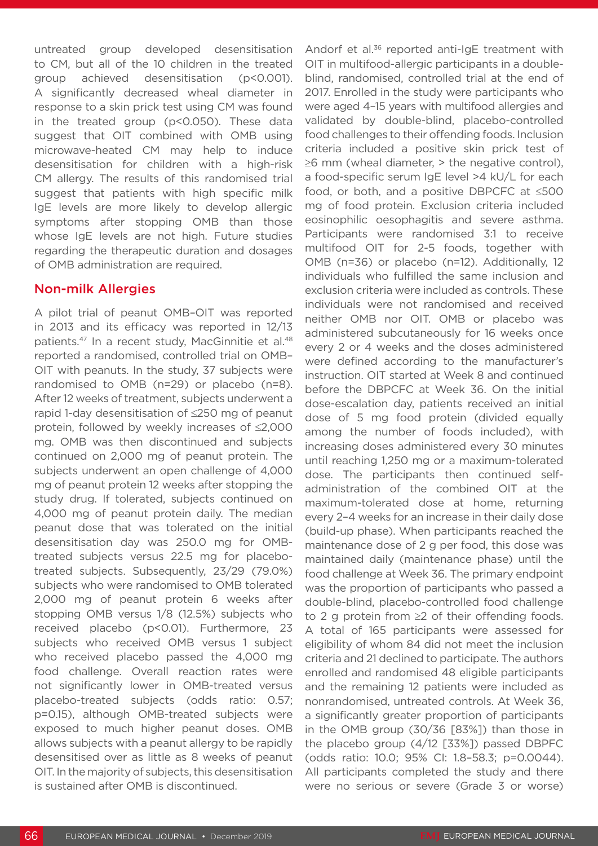untreated group developed desensitisation to CM, but all of the 10 children in the treated group achieved desensitisation (p<0.001). A significantly decreased wheal diameter in response to a skin prick test using CM was found in the treated group (p<0.050). These data suggest that OIT combined with OMB using microwave-heated CM may help to induce desensitisation for children with a high-risk CM allergy. The results of this randomised trial suggest that patients with high specific milk IgE levels are more likely to develop allergic symptoms after stopping OMB than those whose IgE levels are not high. Future studies regarding the therapeutic duration and dosages of OMB administration are required.

#### Non-milk Allergies

A pilot trial of peanut OMB–OIT was reported in 2013 and its efficacy was reported in 12/13 patients.<sup>47</sup> In a recent study, MacGinnitie et al.<sup>48</sup> reported a randomised, controlled trial on OMB– OIT with peanuts. In the study, 37 subjects were randomised to OMB (n=29) or placebo (n=8). After 12 weeks of treatment, subjects underwent a rapid 1-day desensitisation of ≤250 mg of peanut protein, followed by weekly increases of ≤2,000 mg. OMB was then discontinued and subjects continued on 2,000 mg of peanut protein. The subjects underwent an open challenge of 4,000 mg of peanut protein 12 weeks after stopping the study drug. If tolerated, subjects continued on 4,000 mg of peanut protein daily. The median peanut dose that was tolerated on the initial desensitisation day was 250.0 mg for OMBtreated subjects versus 22.5 mg for placebotreated subjects. Subsequently, 23/29 (79.0%) subjects who were randomised to OMB tolerated 2,000 mg of peanut protein 6 weeks after stopping OMB versus 1/8 (12.5%) subjects who received placebo (p<0.01). Furthermore, 23 subjects who received OMB versus 1 subject who received placebo passed the 4,000 mg food challenge. Overall reaction rates were not significantly lower in OMB-treated versus placebo-treated subjects (odds ratio: 0.57; p=0.15), although OMB-treated subjects were exposed to much higher peanut doses. OMB allows subjects with a peanut allergy to be rapidly desensitised over as little as 8 weeks of peanut OIT. In the majority of subjects, this desensitisation is sustained after OMB is discontinued.

Andorf et al.<sup>36</sup> reported anti-IgE treatment with OIT in multifood-allergic participants in a doubleblind, randomised, controlled trial at the end of 2017. Enrolled in the study were participants who were aged 4–15 years with multifood allergies and validated by double-blind, placebo-controlled food challenges to their offending foods. Inclusion criteria included a positive skin prick test of  $\geq$ 6 mm (wheal diameter,  $>$  the negative control). a food-specific serum IgE level >4 kU/L for each food, or both, and a positive DBPCFC at ≤500 mg of food protein. Exclusion criteria included eosinophilic oesophagitis and severe asthma. Participants were randomised 3:1 to receive multifood OIT for 2-5 foods, together with OMB (n=36) or placebo (n=12). Additionally, 12 individuals who fulfilled the same inclusion and exclusion criteria were included as controls. These individuals were not randomised and received neither OMB nor OIT. OMB or placebo was administered subcutaneously for 16 weeks once every 2 or 4 weeks and the doses administered were defined according to the manufacturer's instruction. OIT started at Week 8 and continued before the DBPCFC at Week 36. On the initial dose-escalation day, patients received an initial dose of 5 mg food protein (divided equally among the number of foods included), with increasing doses administered every 30 minutes until reaching 1,250 mg or a maximum-tolerated dose. The participants then continued selfadministration of the combined OIT at the maximum-tolerated dose at home, returning every 2–4 weeks for an increase in their daily dose (build-up phase). When participants reached the maintenance dose of 2 g per food, this dose was maintained daily (maintenance phase) until the food challenge at Week 36. The primary endpoint was the proportion of participants who passed a double-blind, placebo-controlled food challenge to 2 g protein from ≥2 of their offending foods. A total of 165 participants were assessed for eligibility of whom 84 did not meet the inclusion criteria and 21 declined to participate. The authors enrolled and randomised 48 eligible participants and the remaining 12 patients were included as nonrandomised, untreated controls. At Week 36, a significantly greater proportion of participants in the OMB group (30/36 [83%]) than those in the placebo group (4/12 [33%]) passed DBPFC (odds ratio: 10.0; 95% CI: 1.8–58.3; p=0.0044). All participants completed the study and there were no serious or severe (Grade 3 or worse)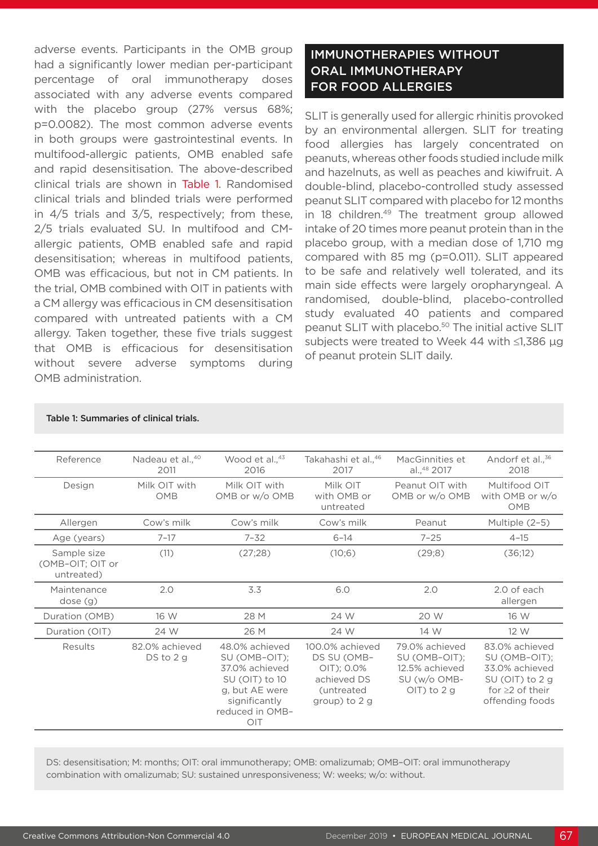adverse events. Participants in the OMB group had a significantly lower median per-participant percentage of oral immunotherapy doses associated with any adverse events compared with the placebo group (27% versus 68%; p=0.0082). The most common adverse events in both groups were gastrointestinal events. In multifood-allergic patients, OMB enabled safe and rapid desensitisation. The above-described clinical trials are shown in Table 1. Randomised clinical trials and blinded trials were performed in 4/5 trials and 3/5, respectively; from these, 2/5 trials evaluated SU. In multifood and CMallergic patients, OMB enabled safe and rapid desensitisation; whereas in multifood patients, OMB was efficacious, but not in CM patients. In the trial, OMB combined with OIT in patients with a CM allergy was efficacious in CM desensitisation compared with untreated patients with a CM allergy. Taken together, these five trials suggest that OMB is efficacious for desensitisation without severe adverse symptoms during OMB administration.

## IMMUNOTHERAPIES WITHOUT ORAL IMMUNOTHERAPY FOR FOOD ALLERGIES

SLIT is generally used for allergic rhinitis provoked by an environmental allergen. SLIT for treating food allergies has largely concentrated on peanuts, whereas other foods studied include milk and hazelnuts, as well as peaches and kiwifruit. A double-blind, placebo-controlled study assessed peanut SLIT compared with placebo for 12 months in 18 children.<sup>49</sup> The treatment group allowed intake of 20 times more peanut protein than in the placebo group, with a median dose of 1,710 mg compared with 85 mg (p=0.011). SLIT appeared to be safe and relatively well tolerated, and its main side effects were largely oropharyngeal. A randomised, double-blind, placebo-controlled study evaluated 40 patients and compared peanut SLIT with placebo.<sup>50</sup> The initial active SLIT subjects were treated to Week 44 with ≤1,386 μg of peanut protein SLIT daily.

| Reference                                     | Nadeau et al., 40<br>2011      | Wood et al., <sup>43</sup><br>2016                                                                                               | Takahashi et al., 46<br>2017                                                               | MacGinnities et<br>al., 48 2017                                                    | Andorf et al., <sup>36</sup><br>2018                                                                              |
|-----------------------------------------------|--------------------------------|----------------------------------------------------------------------------------------------------------------------------------|--------------------------------------------------------------------------------------------|------------------------------------------------------------------------------------|-------------------------------------------------------------------------------------------------------------------|
| Design                                        | Milk OIT with<br>OMB           | Milk OIT with<br>OMB or w/o OMB                                                                                                  | Milk OIT<br>with OMB or<br>untreated                                                       | Peanut OIT with<br>OMB or w/o OMB                                                  | Multifood OIT<br>with OMB or w/o<br>OMB                                                                           |
| Allergen                                      | Cow's milk                     | Cow's milk                                                                                                                       | Cow's milk                                                                                 | Peanut                                                                             | Multiple (2-5)                                                                                                    |
| Age (years)                                   | $7 - 17$                       | $7 - 32$                                                                                                                         | $6 - 14$                                                                                   | $7 - 25$                                                                           | $4 - 15$                                                                                                          |
| Sample size<br>(OMB-OIT; OIT or<br>untreated) | (11)                           | (27;28)                                                                                                                          | (10;6)                                                                                     | (29;8)                                                                             | (36;12)                                                                                                           |
| Maintenance<br>dose(g)                        | 2.0                            | 3.3                                                                                                                              | 6.0                                                                                        | 2.0                                                                                | 2.0 of each<br>allergen                                                                                           |
| Duration (OMB)                                | 16 W                           | 28 M                                                                                                                             | 24 W                                                                                       | 20 W                                                                               | 16 W                                                                                                              |
| Duration (OIT)                                | 24 W                           | 26 M                                                                                                                             | 24 W                                                                                       | 14 W                                                                               | 12 W                                                                                                              |
| Results                                       | 82.0% achieved<br>$DS$ to $2q$ | 48.0% achieved<br>SU (OMB-OIT);<br>37.0% achieved<br>SU (OIT) to 10<br>g, but AE were<br>significantly<br>reduced in OMB-<br>OIT | 100.0% achieved<br>DS SU (OMB-<br>OIT); 0.0%<br>achieved DS<br>(untreated<br>group) to 2 g | 79.0% achieved<br>SU (OMB-OIT);<br>12.5% achieved<br>SU (w/o OMB-<br>$O(T)$ to 2 g | 83.0% achieved<br>SU (OMB-OIT);<br>33.0% achieved<br>$SU(OIT)$ to 2 g<br>for $\geq$ 2 of their<br>offending foods |

#### Table 1: Summaries of clinical trials.

DS: desensitisation; M: months; OIT: oral immunotherapy; OMB: omalizumab; OMB–OIT: oral immunotherapy combination with omalizumab; SU: sustained unresponsiveness; W: weeks; w/o: without.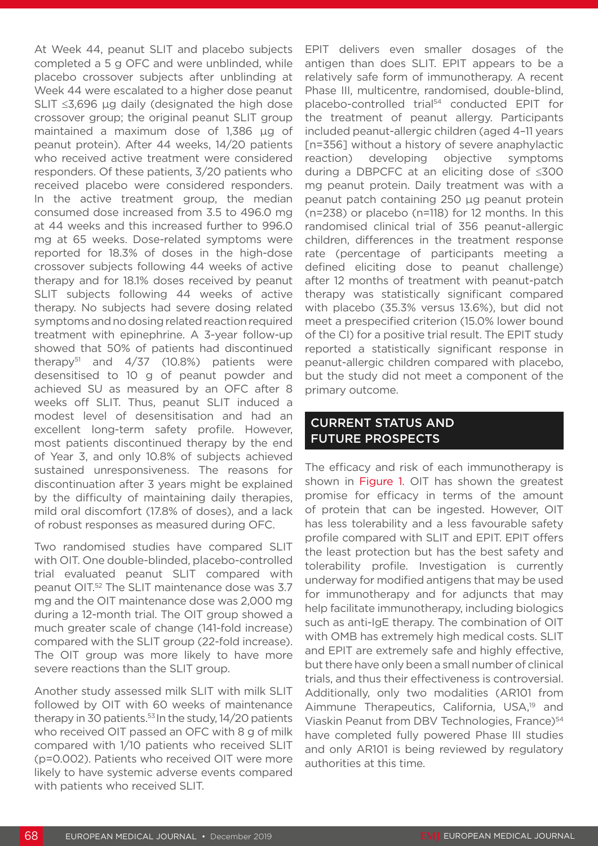At Week 44, peanut SLIT and placebo subjects completed a 5 g OFC and were unblinded, while placebo crossover subjects after unblinding at Week 44 were escalated to a higher dose peanut SLIT ≤3,696 μg daily (designated the high dose crossover group; the original peanut SLIT group maintained a maximum dose of 1,386 μg of peanut protein). After 44 weeks, 14/20 patients who received active treatment were considered responders. Of these patients, 3/20 patients who received placebo were considered responders. In the active treatment group, the median consumed dose increased from 3.5 to 496.0 mg at 44 weeks and this increased further to 996.0 mg at 65 weeks. Dose-related symptoms were reported for 18.3% of doses in the high-dose crossover subjects following 44 weeks of active therapy and for 18.1% doses received by peanut SLIT subjects following 44 weeks of active therapy. No subjects had severe dosing related symptoms and no dosing related reaction required treatment with epinephrine. A 3-year follow-up showed that 50% of patients had discontinued therapy<sup>51</sup> and  $4/37$  (10.8%) patients were desensitised to 10 g of peanut powder and achieved SU as measured by an OFC after 8 weeks off SLIT. Thus, peanut SLIT induced a modest level of desensitisation and had an excellent long-term safety profile. However, most patients discontinued therapy by the end of Year 3, and only 10.8% of subjects achieved sustained unresponsiveness. The reasons for discontinuation after 3 years might be explained by the difficulty of maintaining daily therapies, mild oral discomfort (17.8% of doses), and a lack of robust responses as measured during OFC.

Two randomised studies have compared SLIT with OIT. One double-blinded, placebo-controlled trial evaluated peanut SLIT compared with peanut OIT.52 The SLIT maintenance dose was 3.7 mg and the OIT maintenance dose was 2,000 mg during a 12-month trial. The OIT group showed a much greater scale of change (141-fold increase) compared with the SLIT group (22-fold increase). The OIT group was more likely to have more severe reactions than the SLIT group.

Another study assessed milk SLIT with milk SLIT followed by OIT with 60 weeks of maintenance therapy in 30 patients.<sup>53</sup> In the study, 14/20 patients who received OIT passed an OFC with 8 g of milk compared with 1/10 patients who received SLIT (p=0.002). Patients who received OIT were more likely to have systemic adverse events compared with patients who received SLIT.

EPIT delivers even smaller dosages of the antigen than does SLIT. EPIT appears to be a relatively safe form of immunotherapy. A recent Phase III, multicentre, randomised, double-blind, placebo-controlled trial<sup>54</sup> conducted EPIT for the treatment of peanut allergy. Participants included peanut-allergic children (aged 4–11 years [n=356] without a history of severe anaphylactic reaction) developing objective symptoms during a DBPCFC at an eliciting dose of ≤300 mg peanut protein. Daily treatment was with a peanut patch containing 250 μg peanut protein (n=238) or placebo (n=118) for 12 months. In this randomised clinical trial of 356 peanut-allergic children, differences in the treatment response rate (percentage of participants meeting a defined eliciting dose to peanut challenge) after 12 months of treatment with peanut-patch therapy was statistically significant compared with placebo (35.3% versus 13.6%), but did not meet a prespecified criterion (15.0% lower bound of the CI) for a positive trial result. The EPIT study reported a statistically significant response in peanut-allergic children compared with placebo, but the study did not meet a component of the primary outcome.

### CURRENT STATUS AND FUTURE PROSPECTS

The efficacy and risk of each immunotherapy is shown in Figure 1. OIT has shown the greatest promise for efficacy in terms of the amount of protein that can be ingested. However, OIT has less tolerability and a less favourable safety profile compared with SLIT and EPIT. EPIT offers the least protection but has the best safety and tolerability profile. Investigation is currently underway for modified antigens that may be used for immunotherapy and for adjuncts that may help facilitate immunotherapy, including biologics such as anti-IgE therapy. The combination of OIT with OMB has extremely high medical costs. SLIT and EPIT are extremely safe and highly effective, but there have only been a small number of clinical trials, and thus their effectiveness is controversial. Additionally, only two modalities (AR101 from Aimmune Therapeutics, California, USA,<sup>19</sup> and Viaskin Peanut from DBV Technologies, France)<sup>54</sup> have completed fully powered Phase III studies and only AR101 is being reviewed by regulatory authorities at this time.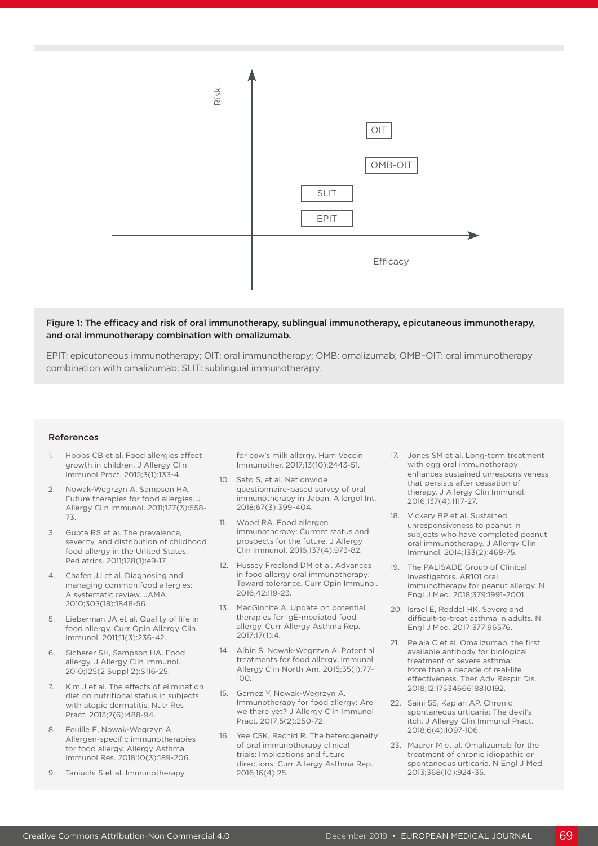

#### Figure 1: The efficacy and risk of oral immunotherapy, sublingual immunotherapy, epicutaneous immunotherapy, and oral immunotherapy combination with omalizumab.

EPIT: epicutaneous immunotherapy; OIT: oral immunotherapy; OMB: omalizumab; OMB–OIT: oral immunotherapy combination with omalizumab; SLIT: sublingual immunotherapy.

#### References

- Hobbs CB et al. Food allergies affect growth in children. J Allergy Clin Immunol Pract. 2015;3(1):133-4.
- 2. Nowak-Wegrzyn A, Sampson HA. Future therapies for food allergies. J Allergy Clin Immunol. 2011;127(3):558- 73.
- 3. Gupta RS et al. The prevalence, severity, and distribution of childhood food allergy in the United States. Pediatrics. 2011;128(1):e9-17.
- 4. Chafen JJ et al. Diagnosing and managing common food allergies: A systematic review. JAMA. 2010;303(18):1848-56.
- 5. Lieberman JA et al. Quality of life in food allergy. Curr Opin Allergy Clin Immunol. 2011;11(3):236-42.
- 6. Sicherer SH, Sampson HA. Food allergy. J Allergy Clin Immunol. 2010;125(2 Suppl 2):S116-25.
- Kim J et al. The effects of elimination diet on nutritional status in subjects with atopic dermatitis. Nutr Res Pract. 2013;7(6):488-94.
- 8. Feuille E, Nowak-Wegrzyn A. Allergen-specific immunotherapies for food allergy. Allergy Asthma Immunol Res. 2018;10(3):189-206.
- 9. Taniuchi S et al. Immunotherapy

for cow's milk allergy. Hum Vaccin Immunother. 2017;13(10):2443-51.

- 10. Sato S, et al. Nationwide questionnaire-based survey of oral immunotherapy in Japan. Allergol Int. 2018;67(3):399-404.
- 11. Wood RA. Food allergen immunotherapy: Current status and prospects for the future. J Allergy Clin Immunol. 2016;137(4):973-82.
- 12. Hussey Freeland DM et al. Advances in food allergy oral immunotherapy: Toward tolerance. Curr Opin Immunol. 2016;42:119-23.
- 13. MacGinnite A. Update on potential therapies for IgE-mediated food allergy. Curr Allergy Asthma Rep.  $2017:17(1):4$
- 14. Albin S, Nowak-Wegrzyn A. Potential treatments for food allergy. Immunol Allergy Clin North Am. 2015;35(1):77- 100.
- 15. Gernez Y, Nowak-Wegrzyn A. Immunotherapy for food allergy: Are we there yet? J Allergy Clin Immunol Pract. 2017;5(2):250-72.
- 16. Yee CSK, Rachid R. The heterogeneity of oral immunotherapy clinical trials: Implications and future directions. Curr Allergy Asthma Rep. 2016;16(4):25.
- 17. Jones SM et al. Long-term treatment with egg oral immunotherapy enhances sustained unresponsiveness that persists after cessation of therapy. J Allergy Clin Immunol. 2016;137(4):1117-27.
- 18. Vickery BP et al. Sustained unresponsiveness to peanut in subjects who have completed peanut oral immunotherapy. J Allergy Clin Immunol. 2014;133(2):468-75.
- 19. The PALISADE Group of Clinical Investigators. AR101 oral immunotherapy for peanut allergy. N Engl J Med. 2018;379:1991-2001.
- 20. Israel E, Reddel HK. Severe and difficult-to-treat asthma in adults. N Engl J Med. 2017;377:96576.
- 21. Pelaia C et al. Omalizumab, the first available antibody for biological treatment of severe asthma: More than a decade of real-life effectiveness. Ther Adv Respir Dis. 2018;12:1753466618810192.
- 22. Saini SS, Kaplan AP. Chronic spontaneous urticaria: The devil's itch. J Allergy Clin Immunol Pract. 2018;6(4):1097-106.
- 23. Maurer M et al. Omalizumab for the treatment of chronic idiopathic or spontaneous urticaria. N Engl J Med. 2013;368(10):924-35.